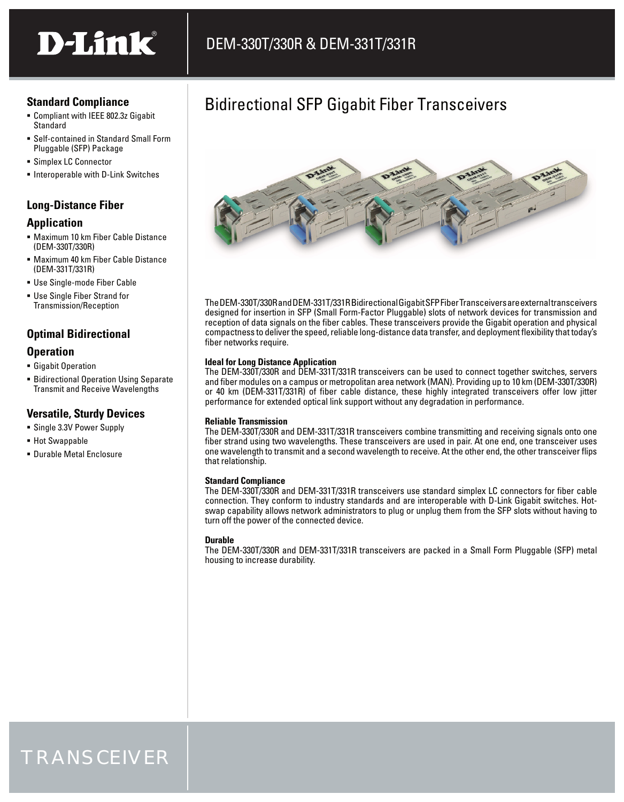# D-Link®

#### **Standard Compliance**

- Compliant with IEEE 802.3z Gigabit **Standard**
- Self-contained in Standard Small Form Pluggable (SFP) Package
- Simplex LC Connector
- **Interoperable with D-Link Switches**

#### **Long-Distance Fiber**

#### **Application**

- Maximum 10 km Fiber Cable Distance (DEM-330T/330R)
- Maximum 40 km Fiber Cable Distance (DEM-331T/331R)
- Use Single-mode Fiber Cable
- Use Single Fiber Strand for Transmission/Reception

### **Optimal Bidirectional**

#### **Operation**

- **Gigabit Operation**
- **Bidirectional Operation Using Separate** Transmit and Receive Wavelengths

#### **Versatile, Sturdy Devices**

- Single 3.3V Power Supply
- Hot Swappable
- Durable Metal Enclosure

## Bidirectional SFP Gigabit Fiber Transceivers



The DEM-330T/330R and DEM-331T/331R Bidirectional Gigabit SFP Fiber Transceivers are external transceivers designed for insertion in SFP (Small Form-Factor Pluggable) slots of network devices for transmission and reception of data signals on the fiber cables. These transceivers provide the Gigabit operation and physical compactness to deliver the speed, reliable long-distance data transfer, and deployment flexibility that today's fiber networks require.

#### **Ideal for Long Distance Application**

The DEM-330T/330R and DEM-331T/331R transceivers can be used to connect together switches, servers and fiber modules on a campus or metropolitan area network (MAN). Providing up to 10 km (DEM-330T/330R) or 40 km (DEM-331T/331R) of fiber cable distance, these highly integrated transceivers offer low jitter performance for extended optical link support without any degradation in performance.

#### **Reliable Transmission**

The DEM-330T/330R and DEM-331T/331R transceivers combine transmitting and receiving signals onto one fiber strand using two wavelengths. These transceivers are used in pair. At one end, one transceiver uses one wavelength to transmit and a second wavelength to receive. At the other end, the other transceiver flips that relationship.

#### **Standard Compliance**

The DEM-330T/330R and DEM-331T/331R transceivers use standard simplex LC connectors for fiber cable connection. They conform to industry standards and are interoperable with D-Link Gigabit switches. Hotswap capability allows network administrators to plug or unplug them from the SFP slots without having to turn off the power of the connected device.

#### **Durable**

The DEM-330T/330R and DEM-331T/331R transceivers are packed in a Small Form Pluggable (SFP) metal housing to increase durability.

## TRANSCEIVER